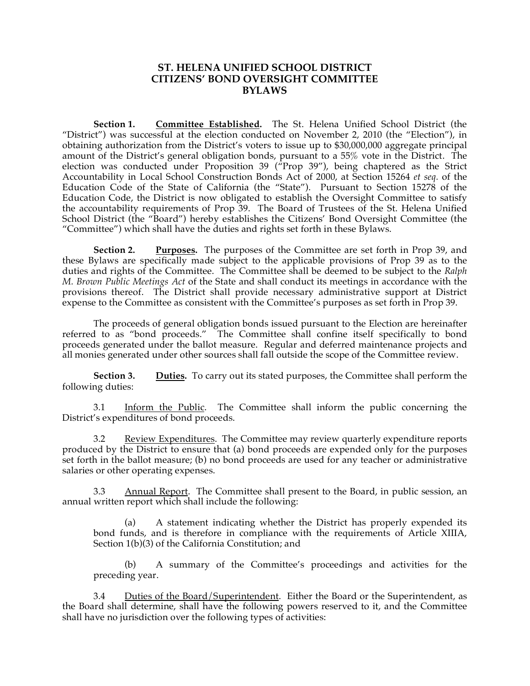## **ST. HELENA UNIFIED SCHOOL DISTRICT CITIZENS' BOND OVERSIGHT COMMITTEE BYLAWS**

**Section 1. Committee Established.** The St. Helena Unified School District (the "District") was successful at the election conducted on November 2, 2010 (the "Election"), in obtaining authorization from the District's voters to issue up to \$30,000,000 aggregate principal amount of the District's general obligation bonds, pursuant to a 55% vote in the District. The election was conducted under Proposition 39 ("Prop 39"), being chaptered as the Strict Accountability in Local School Construction Bonds Act of 2000, at Section 15264 *et seq.* of the Education Code of the State of California (the "State"). Pursuant to Section 15278 of the Education Code, the District is now obligated to establish the Oversight Committee to satisfy the accountability requirements of Prop 39. The Board of Trustees of the St. Helena Unified School District (the "Board") hereby establishes the Citizens' Bond Oversight Committee (the "Committee") which shall have the duties and rights set forth in these Bylaws.

**Section 2. Purposes.** The purposes of the Committee are set forth in Prop 39, and these Bylaws are specifically made subject to the applicable provisions of Prop 39 as to the duties and rights of the Committee. The Committee shall be deemed to be subject to the *Ralph M. Brown Public Meetings Act* of the State and shall conduct its meetings in accordance with the provisions thereof. The District shall provide necessary administrative support at District expense to the Committee as consistent with the Committee's purposes as set forth in Prop 39.

The proceeds of general obligation bonds issued pursuant to the Election are hereinafter referred to as "bond proceeds." The Committee shall confine itself specifically to bond proceeds generated under the ballot measure. Regular and deferred maintenance projects and all monies generated under other sources shall fall outside the scope of the Committee review.

**Section 3. Duties.** To carry out its stated purposes, the Committee shall perform the following duties:

3.1 Inform the Public. The Committee shall inform the public concerning the District's expenditures of bond proceeds.

3.2 Review Expenditures. The Committee may review quarterly expenditure reports produced by the District to ensure that (a) bond proceeds are expended only for the purposes set forth in the ballot measure; (b) no bond proceeds are used for any teacher or administrative salaries or other operating expenses.

3.3 Annual Report. The Committee shall present to the Board, in public session, an annual written report which shall include the following:

(a) A statement indicating whether the District has properly expended its bond funds, and is therefore in compliance with the requirements of Article XIIIA, Section 1(b)(3) of the California Constitution; and

(b) A summary of the Committee's proceedings and activities for the preceding year.

3.4 Duties of the Board/Superintendent. Either the Board or the Superintendent, as the Board shall determine, shall have the following powers reserved to it, and the Committee shall have no jurisdiction over the following types of activities: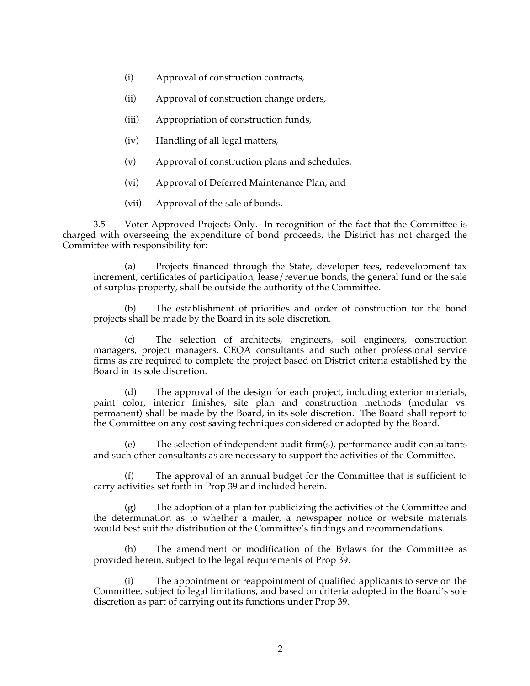- (i) Approval of construction contracts,
- (ii) Approval of construction change orders,
- (iii) Appropriation of construction funds,
- (iv) Handling of all legal matters,
- (v) Approval of construction plans and schedules,
- (vi) Approval of Deferred Maintenance Plan, and
- (vii) Approval of the sale of bonds.

3.5 Voter-Approved Projects Only. In recognition of the fact that the Committee is charged with overseeing the expenditure of bond proceeds, the District has not charged the Committee with responsibility for:

(a) Projects financed through the State, developer fees, redevelopment tax increment, certificates of participation, lease/revenue bonds, the general fund or the sale of surplus property, shall be outside the authority of the Committee.

The establishment of priorities and order of construction for the bond projects shall be made by the Board in its sole discretion.

(c) The selection of architects, engineers, soil engineers, construction managers, project managers, CEQA consultants and such other professional service firms as are required to complete the project based on District criteria established by the Board in its sole discretion.

(d) The approval of the design for each project, including exterior materials, paint color, interior finishes, site plan and construction methods (modular vs. permanent) shall be made by the Board, in its sole discretion. The Board shall report to the Committee on any cost saving techniques considered or adopted by the Board.

(e) The selection of independent audit firm(s), performance audit consultants and such other consultants as are necessary to support the activities of the Committee.

(f) The approval of an annual budget for the Committee that is sufficient to carry activities set forth in Prop 39 and included herein.

(g) The adoption of a plan for publicizing the activities of the Committee and the determination as to whether a mailer, a newspaper notice or website materials would best suit the distribution of the Committee's findings and recommendations.

(h) The amendment or modification of the Bylaws for the Committee as provided herein, subject to the legal requirements of Prop 39.

(i) The appointment or reappointment of qualified applicants to serve on the Committee, subject to legal limitations, and based on criteria adopted in the Board's sole discretion as part of carrying out its functions under Prop 39.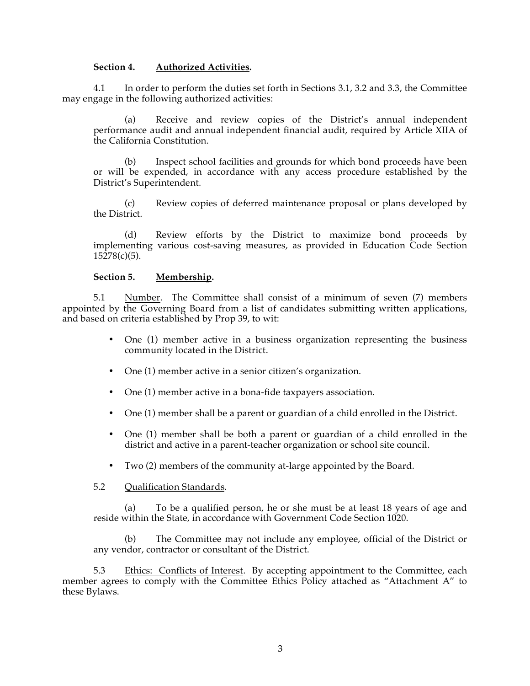#### **Section 4. Authorized Activities.**

4.1 In order to perform the duties set forth in Sections 3.1, 3.2 and 3.3, the Committee may engage in the following authorized activities:

(a) Receive and review copies of the District's annual independent performance audit and annual independent financial audit, required by Article XIIA of the California Constitution.

(b) Inspect school facilities and grounds for which bond proceeds have been or will be expended, in accordance with any access procedure established by the District's Superintendent.

(c) Review copies of deferred maintenance proposal or plans developed by the District.

(d) Review efforts by the District to maximize bond proceeds by implementing various cost-saving measures, as provided in Education Code Section  $15278(c)(5)$ .

#### **Section 5. Membership.**

5.1 Number. The Committee shall consist of a minimum of seven (7) members appointed by the Governing Board from a list of candidates submitting written applications, and based on criteria established by Prop 39, to wit:

- One (1) member active in a business organization representing the business community located in the District.
- One (1) member active in a senior citizen's organization.
- One (1) member active in a bona-fide taxpayers association.
- One (1) member shall be a parent or guardian of a child enrolled in the District.
- One (1) member shall be both a parent or guardian of a child enrolled in the district and active in a parent-teacher organization or school site council.
- Two (2) members of the community at-large appointed by the Board.
- 5.2 Qualification Standards.

To be a qualified person, he or she must be at least 18 years of age and reside within the State, in accordance with Government Code Section 1020.

(b) The Committee may not include any employee, official of the District or any vendor, contractor or consultant of the District.

5.3 Ethics: Conflicts of Interest. By accepting appointment to the Committee, each member agrees to comply with the Committee Ethics Policy attached as "Attachment A" to these Bylaws.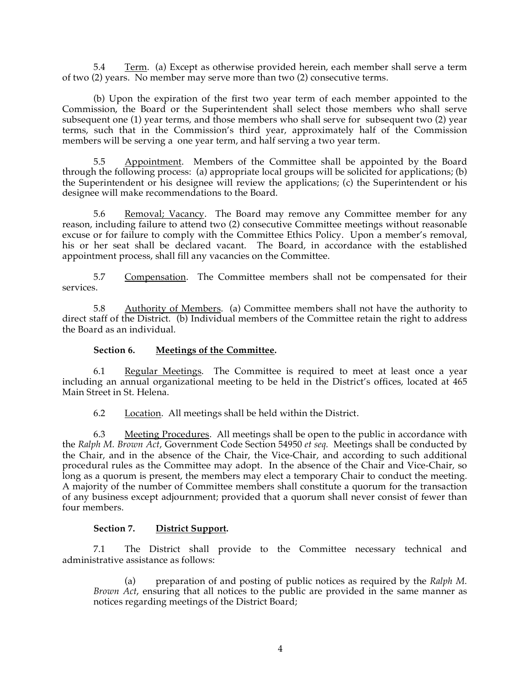5.4 Term. (a) Except as otherwise provided herein, each member shall serve a term of two (2) years. No member may serve more than two (2) consecutive terms.

(b) Upon the expiration of the first two year term of each member appointed to the Commission, the Board or the Superintendent shall select those members who shall serve subsequent one (1) year terms, and those members who shall serve for subsequent two (2) year terms, such that in the Commission's third year, approximately half of the Commission members will be serving a one year term, and half serving a two year term.

5.5 Appointment. Members of the Committee shall be appointed by the Board through the following process: (a) appropriate local groups will be solicited for applications; (b) the Superintendent or his designee will review the applications; (c) the Superintendent or his designee will make recommendations to the Board.

5.6 Removal; Vacancy. The Board may remove any Committee member for any reason, including failure to attend two (2) consecutive Committee meetings without reasonable excuse or for failure to comply with the Committee Ethics Policy. Upon a member's removal, his or her seat shall be declared vacant. The Board, in accordance with the established appointment process, shall fill any vacancies on the Committee.

5.7 Compensation. The Committee members shall not be compensated for their services.

5.8 Authority of Members. (a) Committee members shall not have the authority to direct staff of the District. (b) Individual members of the Committee retain the right to address the Board as an individual.

## **Section 6. Meetings of the Committee.**

6.1 Regular Meetings. The Committee is required to meet at least once a year including an annual organizational meeting to be held in the District's offices, located at 465 Main Street in St. Helena.

6.2 Location. All meetings shall be held within the District.

6.3 Meeting Procedures. All meetings shall be open to the public in accordance with the *Ralph M. Brown Act*, Government Code Section 54950 *et seq.* Meetings shall be conducted by the Chair, and in the absence of the Chair, the Vice-Chair, and according to such additional procedural rules as the Committee may adopt. In the absence of the Chair and Vice-Chair, so long as a quorum is present, the members may elect a temporary Chair to conduct the meeting. A majority of the number of Committee members shall constitute a quorum for the transaction of any business except adjournment; provided that a quorum shall never consist of fewer than four members.

## **Section 7. District Support.**

7.1 The District shall provide to the Committee necessary technical and administrative assistance as follows:

(a) preparation of and posting of public notices as required by the *Ralph M. Brown Act*, ensuring that all notices to the public are provided in the same manner as notices regarding meetings of the District Board;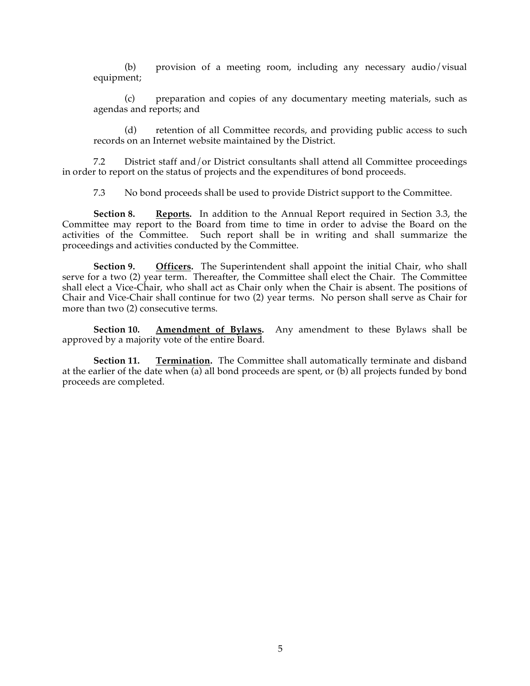(b) provision of a meeting room, including any necessary audio/visual equipment;

(c) preparation and copies of any documentary meeting materials, such as agendas and reports; and

(d) retention of all Committee records, and providing public access to such records on an Internet website maintained by the District.

7.2 District staff and/or District consultants shall attend all Committee proceedings in order to report on the status of projects and the expenditures of bond proceeds.

7.3 No bond proceeds shall be used to provide District support to the Committee.

**Section 8. Reports.** In addition to the Annual Report required in Section 3.3, the Committee may report to the Board from time to time in order to advise the Board on the activities of the Committee. Such report shall be in writing and shall summarize the proceedings and activities conducted by the Committee.

**Section 9. Officers.** The Superintendent shall appoint the initial Chair, who shall serve for a two (2) year term. Thereafter, the Committee shall elect the Chair. The Committee shall elect a Vice-Chair, who shall act as Chair only when the Chair is absent. The positions of Chair and Vice-Chair shall continue for two (2) year terms. No person shall serve as Chair for more than two (2) consecutive terms.

**Section 10. Amendment of Bylaws.** Any amendment to these Bylaws shall be approved by a majority vote of the entire Board.

**Section 11. Termination.** The Committee shall automatically terminate and disband at the earlier of the date when (a) all bond proceeds are spent, or (b) all projects funded by bond proceeds are completed.